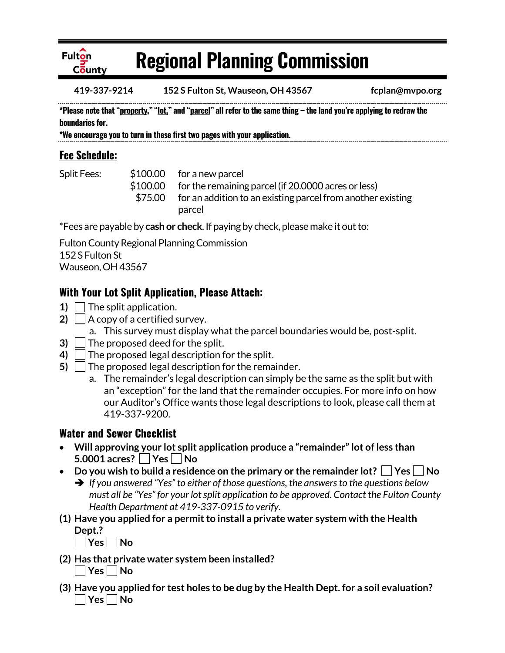

# **Regional Planning Commission**

**419-337-9214 152 S Fulton St, Wauseon, OH 43567 fcplan@mvpo.org**

**\*Please note that "property," "lot," and "parcel" all refer to the same thing – the land you're applying to redraw the boundaries for.**

**\*We encourage you to turn in these first two pages with your application.**

# **Fee Schedule:**

Split Fees: \$100.00 for a new parcel \$100.00 for the remaining parcel (if 20.0000 acres or less) \$75.00 for an addition to an existing parcel from another existing parcel

\*Fees are payable by **cash or check**. If paying by check, please make it out to:

Fulton County Regional Planning Commission 152 S Fulton St Wauseon, OH 43567

### **With Your Lot Split Application, Please Attach:**

- 1) The split application.
- **2)**  $\vert$   $\vert$  A copy of a certified survey.
	- a. This survey must display what the parcel boundaries would be, post-split.
- **3)** The proposed deed for the split.
- **4)** The proposed legal description for the split.
- **5)**  $\Box$  The proposed legal description for the remainder.
	- a. The remainder's legal description can simply be the same as the split but with an "exception" for the land that the remainder occupies. For more info on how our Auditor's Office wants those legal descriptions to look, please call them at 419-337-9200.

# **Water and Sewer Checklist**

- **Will approving your lot split application produce a "remainder" lot of less than 5.0001 acres?** | **Yes** | **No**
- Do you wish to build a residence on the primary or the remainder lot?  $\Box$  Yes  $\Box$  No
	- *If you answered "Yes" to either of those questions, the answers to the questions below must all be "Yes" for your lot split application to be approved. Contact the Fulton County Health Department at 419-337-0915 to verify.*
- **(1) Have you applied for a permit to install a private water system with the Health Dept.?**

| **Yes | No** 

- **(2) Has that private water system been installed? Yes No**
- **(3) Have you applied for test holes to be dug by the Health Dept. for a soil evaluation?** | Yes | No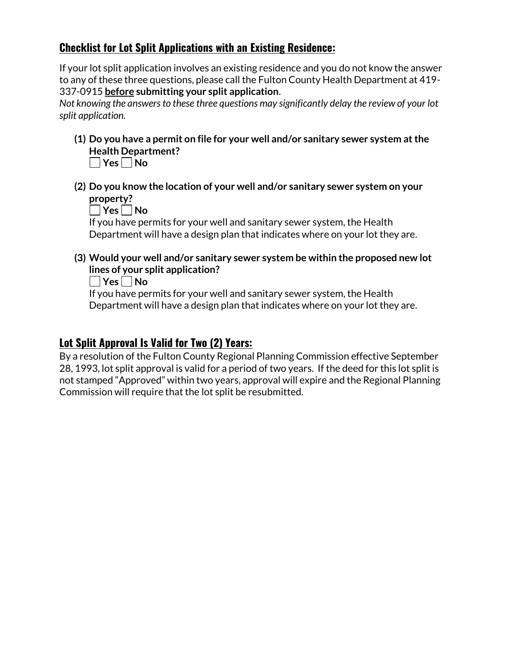### **Checklist for Lot Split Applications with an Existing Residence:**

If your lot split application involves an existing residence and you do not know the answer to any of these three questions, please call the Fulton County Health Department at 419- 337-0915 **before submitting your split application**.

*Not knowing the answers to these three questions may significantly delay the review of your lot split application.*

**(1) Do you have a permit on file for your well and/or sanitary sewer system at the Health Department?** 

**Yes No**

**(2) Do you know the location of your well and/or sanitary sewer system on your property?**

**No** 

If you have permits for your well and sanitary sewer system, the Health Department will have a design plan that indicates where on your lot they are.

**(3) Would your well and/or sanitary sewer system be within the proposed new lot lines of your split application?**

**Yes No**

If you have permits for your well and sanitary sewer system, the Health Department will have a design plan that indicates where on your lot they are.

# **Lot Split Approval Is Valid for Two (2) Years:**

By a resolution of the Fulton County Regional Planning Commission effective September 28, 1993, lot split approval is valid for a period of two years. If the deed for this lot split is not stamped "Approved" within two years, approval will expire and the Regional Planning Commission will require that the lot split be resubmitted.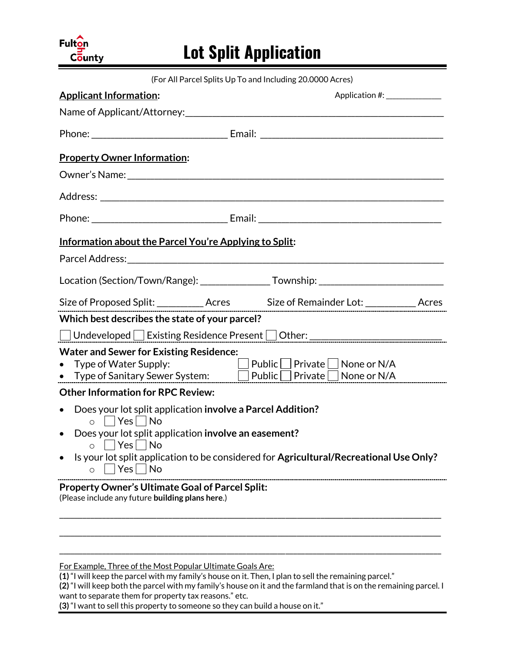# Fulton County

# **Lot Split Application**

| (For All Parcel Splits Up To and Including 20.0000 Acres)                                                                                                                                     |                              |
|-----------------------------------------------------------------------------------------------------------------------------------------------------------------------------------------------|------------------------------|
| <b>Applicant Information:</b>                                                                                                                                                                 | Application #: _____________ |
|                                                                                                                                                                                               |                              |
|                                                                                                                                                                                               |                              |
| <b>Property Owner Information:</b>                                                                                                                                                            |                              |
|                                                                                                                                                                                               |                              |
|                                                                                                                                                                                               |                              |
|                                                                                                                                                                                               |                              |
| Information about the Parcel You're Applying to Split:                                                                                                                                        |                              |
|                                                                                                                                                                                               |                              |
| Location (Section/Town/Range): __________________Township: _____________________                                                                                                              |                              |
| Size of Proposed Split: ____________ Acres Size of Remainder Lot: ____________ Acres                                                                                                          |                              |
| Which best describes the state of your parcel?                                                                                                                                                |                              |
| □Undeveloped □ Existing Residence Present □ Other: _____________________________                                                                                                              |                              |
| <b>Water and Sewer for Existing Residence:</b><br>$\Box$ Public $\Box$ Private $\Box$ None or N/A<br>• Type of Water Supply:<br>• Type of Sanitary Sewer System: Deublic Derivate None or N/A |                              |
| <b>Other Information for RPC Review:</b>                                                                                                                                                      |                              |
| Does your lot split application involve a Parcel Addition?<br>$\bullet$<br>o Yes No                                                                                                           |                              |
| • Does your lot split application involve an easement?<br>$\Box$ Yes $\Box$ No<br>O                                                                                                           |                              |
| Is your lot split application to be considered for Agricultural/Recreational Use Only?<br>$ Yes $ $ No$<br>O                                                                                  |                              |
| <b>Property Owner's Ultimate Goal of Parcel Split:</b><br>(Please include any future building plans here.)                                                                                    |                              |
|                                                                                                                                                                                               |                              |
| For Example, Three of the Most Popular Ultimate Goals Are:                                                                                                                                    |                              |

**(1)** "I will keep the parcel with my family's house on it. Then, I plan to sell the remaining parcel."

**(2)** "I will keep both the parcel with my family's house on it and the farmland that is on the remaining parcel. I want to separate them for property tax reasons." etc.

**(3)** "I want to sell this property to someone so they can build a house on it."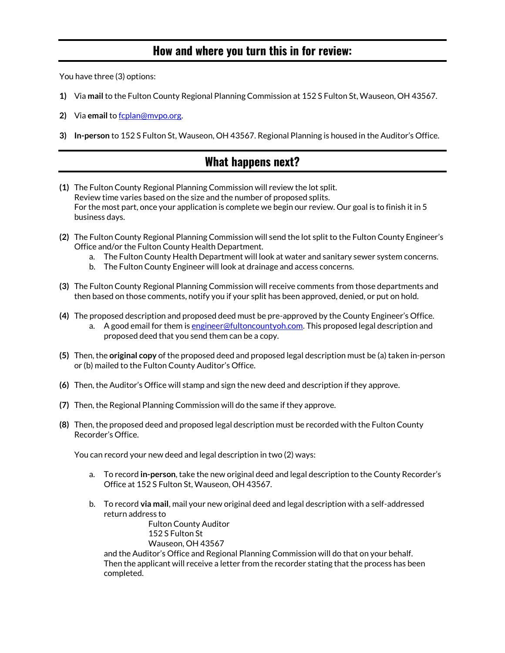### **How and where you turn this in for review:**

You have three (3) options:

- **1)** Via **mail** to the Fulton County Regional Planning Commission at 152 S Fulton St, Wauseon, OH 43567.
- **2)** Via **email** to [fcplan@mvpo.org.](mailto:fcplan@mvpo.org)
- **3) In-person** to 152 S Fulton St, Wauseon, OH 43567. Regional Planning is housed in the Auditor's Office.

# **What happens next?**

- **(1)** The Fulton County Regional Planning Commission will review the lot split. Review time varies based on the size and the number of proposed splits. For the most part, once your application is complete we begin our review. Our goal is to finish it in 5 business days.
- **(2)** The Fulton County Regional Planning Commission will send the lot split to the Fulton County Engineer's Office and/or the Fulton County Health Department.
	- a. The Fulton County Health Department will look at water and sanitary sewer system concerns.
	- b. The Fulton County Engineer will look at drainage and access concerns.
- **(3)** The Fulton County Regional Planning Commission will receive comments from those departments and then based on those comments, notify you if your split has been approved, denied, or put on hold.
- **(4)** The proposed description and proposed deed must be pre-approved by the County Engineer's Office. a. A good email for them is [engineer@fultoncountyoh.com.](mailto:engineer@fultoncountyoh.com) This proposed legal description and proposed deed that you send them can be a copy.
- **(5)** Then, the **original copy** of the proposed deed and proposed legal description must be (a) taken in-person or (b) mailed to the Fulton County Auditor's Office.
- **(6)** Then, the Auditor's Office will stamp and sign the new deed and description if they approve.
- **(7)** Then, the Regional Planning Commission will do the same if they approve.
- **(8)** Then, the proposed deed and proposed legal description must be recorded with the Fulton County Recorder's Office.

You can record your new deed and legal description in two (2) ways:

- a. To record **in-person**, take the new original deed and legal description to the County Recorder's Office at 152 S Fulton St, Wauseon, OH 43567.
- b. To record **via mail**, mail your new original deed and legal description with a self-addressed return address to

Fulton County Auditor 152 S Fulton St Wauseon, OH 43567

and the Auditor's Office and Regional Planning Commission will do that on your behalf. Then the applicant will receive a letter from the recorder stating that the process has been completed.